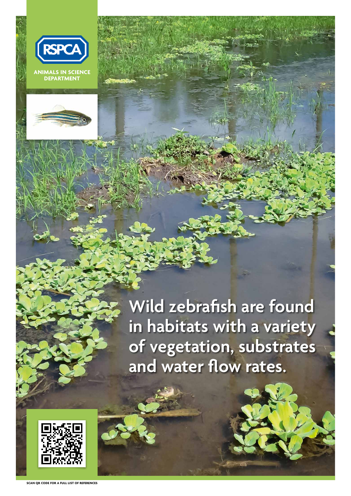



Wild zebrafish are found **in habitats with a variety of vegetation, substrates and water flow rates.**

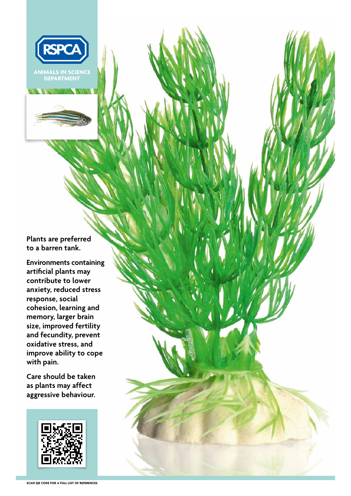

**Plants are preferred to a barren tank.**

**Environments containing artificial plants may contribute to lower anxiety, reduced stress response, social cohesion, learning and memory, larger brain size, improved fertility and fecundity, prevent oxidative stress, and improve ability to cope with pain.**

**Care should be taken as plants may affect aggressive behaviour.**



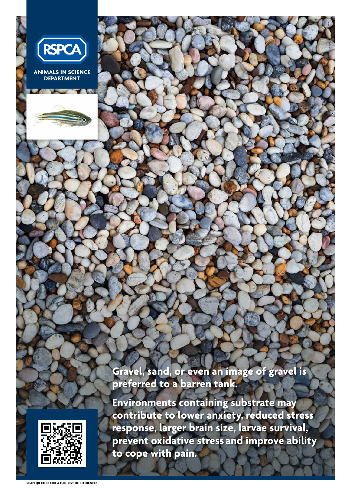

**Gravel, sand, or even an image of gravel** 



## **preferred to a barren tank.**

**Environments containing substrate may contribute to lower anxiety, reduced stress response, larger brain size, larvae survival, prevent oxidative stress and improve ability to cope with pain.**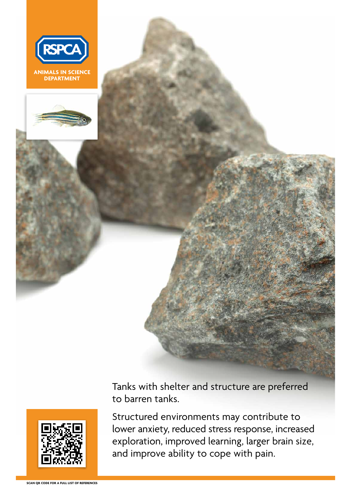



Tanks with shelter and structure are preferred to barren tanks.



Structured environments may contribute to lower anxiety, reduced stress response, increased exploration, improved learning, larger brain size, and improve ability to cope with pain.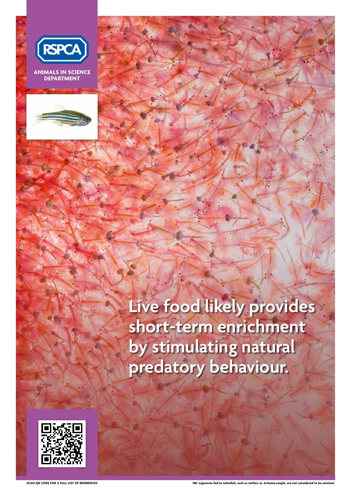**SCAN QR CODE FOR A FULL LIST OF REFERENCES**



**ANIMALS IN SCIENCE DEPARTMENT**



**Live food likely provides short-term enrichment by stimulating natural predatory behaviour.**



**NB: organisms fed to zebrafish, such as rotifers or Artemia nauplii, are not considered to be sentient.**